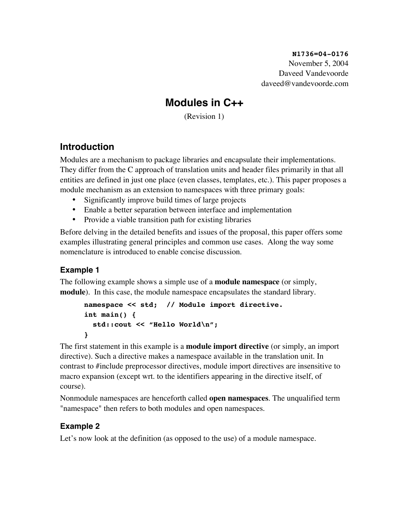**N1736=04-0176** November 5, 2004 Daveed Vandevoorde daveed@vandevoorde.com

# **Modules in C++**

(Revision 1)

# **Introduction**

Modules are a mechanism to package libraries and encapsulate their implementations. They differ from the C approach of translation units and header files primarily in that all entities are defined in just one place (even classes, templates, etc.). This paper proposes a module mechanism as an extension to namespaces with three primary goals:

- Significantly improve build times of large projects
- Enable a better separation between interface and implementation
- Provide a viable transition path for existing libraries

Before delving in the detailed benefits and issues of the proposal, this paper offers some examples illustrating general principles and common use cases. Along the way some nomenclature is introduced to enable concise discussion.

## **Example 1**

The following example shows a simple use of a **module namespace** (or simply, **module**). In this case, the module namespace encapsulates the standard library.

```
namespace << std; // Module import directive.
int main() {
   std::cout << "Hello World\n";
}
```
The first statement in this example is a **module import directive** (or simply, an import directive). Such a directive makes a namespace available in the translation unit. In contrast to #include preprocessor directives, module import directives are insensitive to macro expansion (except wrt. to the identifiers appearing in the directive itself, of course).

Nonmodule namespaces are henceforth called **open namespaces**. The unqualified term "namespace" then refers to both modules and open namespaces.

## **Example 2**

Let's now look at the definition (as opposed to the use) of a module namespace.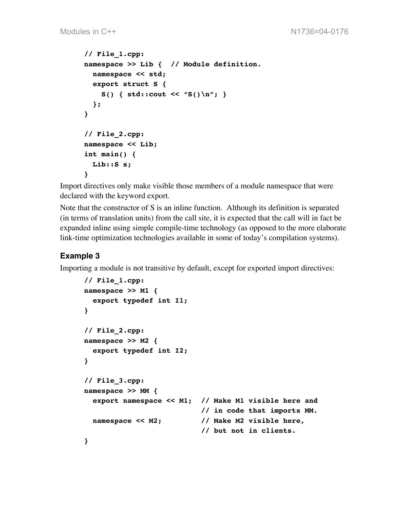```
// File_1.cpp:
namespace >> Lib { // Module definition.
   namespace << std;
   export struct S {
    S() \{ std: <i>count</i> << "S() \n'}; \} };
}
// File_2.cpp:
namespace << Lib;
int main() {
   Lib::S s;
}
```
Import directives only make visible those members of a module namespace that were declared with the keyword export.

Note that the constructor of S is an inline function. Although its definition is separated (in terms of translation units) from the call site, it is expected that the call will in fact be expanded inline using simple compile-time technology (as opposed to the more elaborate link-time optimization technologies available in some of today's compilation systems).

### **Example 3**

Importing a module is not transitive by default, except for exported import directives:

```
// File_1.cpp:
namespace >> M1 {
  export typedef int I1;
}
// File_2.cpp:
namespace >> M2 {
  export typedef int I2;
}
// File_3.cpp:
namespace >> MM {
  export namespace << M1; // Make M1 visible here and
                            // in code that imports MM.
  namespace << M2; // Make M2 visible here,
                            // but not in clients.
}
```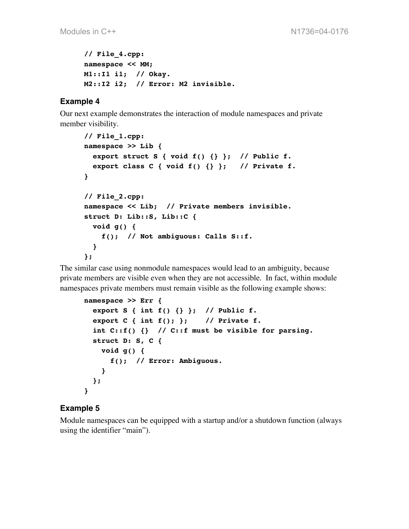```
// File_4.cpp:
namespace << MM;
M1::I1 i1; // Okay.
M2::I2 i2; // Error: M2 invisible.
```
### **Example 4**

Our next example demonstrates the interaction of module namespaces and private member visibility.

```
// File_1.cpp:
namespace >> Lib {
   export struct S { void f() {} }; // Public f.
   export class C { void f() {} }; // Private f.
}
// File_2.cpp:
namespace << Lib; // Private members invisible.
struct D: Lib::S, Lib::C {
   void g() {
     f(); // Not ambiguous: Calls S::f.
   }
};
```
The similar case using nonmodule namespaces would lead to an ambiguity, because private members are visible even when they are not accessible. In fact, within module namespaces private members must remain visible as the following example shows:

```
namespace >> Err {
   export S { int f() {} }; // Public f.
  export C \{ int f(); \}; // Private f.
   int C::f() {} // C::f must be visible for parsing.
   struct D: S, C {
     void g() {
       f(); // Error: Ambiguous.
     }
   };
}
```
### **Example 5**

Module namespaces can be equipped with a startup and/or a shutdown function (always using the identifier "main").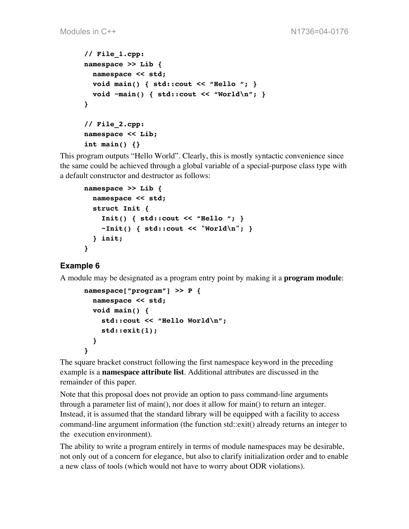```
// File_1.cpp:
namespace >> Lib {
  namespace << std;
  void main() { std::cout << "Hello "; }
  void ~main() { std::cout << "World\n"; }
}
// File_2.cpp:
namespace << Lib;
int main() {}
```
This program outputs "Hello World". Clearly, this is mostly syntactic convenience since the same could be achieved through a global variable of a special-purpose class type with a default constructor and destructor as follows:

```
namespace >> Lib {
  namespace << std;
   struct Init {
     Init() { std::cout << "Hello "; }
     ~Init() { std::cout << "World\n"; }
  } init;
}
```
## **Example 6**

A module may be designated as a program entry point by making it a **program module**:

```
namespace["program"] >> P {
   namespace << std;
   void main() {
     std::cout << "Hello World\n";
     std::exit(1);
   }
}
```
The square bracket construct following the first namespace keyword in the preceding example is a **namespace attribute list**. Additional attributes are discussed in the remainder of this paper.

Note that this proposal does not provide an option to pass command-line arguments through a parameter list of main(), nor does it allow for main() to return an integer. Instead, it is assumed that the standard library will be equipped with a facility to access command-line argument information (the function std::exit() already returns an integer to the execution environment).

The ability to write a program entirely in terms of module namespaces may be desirable, not only out of a concern for elegance, but also to clarify initialization order and to enable a new class of tools (which would not have to worry about ODR violations).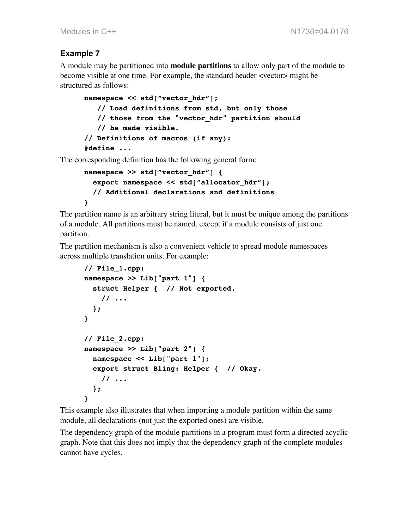## **Example 7**

A module may be partitioned into **module partitions** to allow only part of the module to become visible at one time. For example, the standard header <vector> might be structured as follows:

```
namespace << std["vector_hdr"];
    // Load definitions from std, but only those
    // those from the "vector_hdr" partition should
    // be made visible.
// Definitions of macros (if any):
#define ...
```
The corresponding definition has the following general form:

```
namespace >> std["vector_hdr"] {
   export namespace << std["allocator_hdr"];
   // Additional declarations and definitions
}
```
The partition name is an arbitrary string literal, but it must be unique among the partitions of a module. All partitions must be named, except if a module consists of just one partition.

The partition mechanism is also a convenient vehicle to spread module namespaces across multiple translation units. For example:

```
// File_1.cpp:
namespace >> Lib["part 1"] {
   struct Helper { // Not exported.
     // ...
  };
}
// File_2.cpp:
namespace >> Lib["part 2"] {
   namespace << Lib["part 1"];
   export struct Bling: Helper { // Okay.
     // ...
  };
}
```
This example also illustrates that when importing a module partition within the same module, all declarations (not just the exported ones) are visible.

The dependency graph of the module partitions in a program must form a directed acyclic graph. Note that this does not imply that the dependency graph of the complete modules cannot have cycles.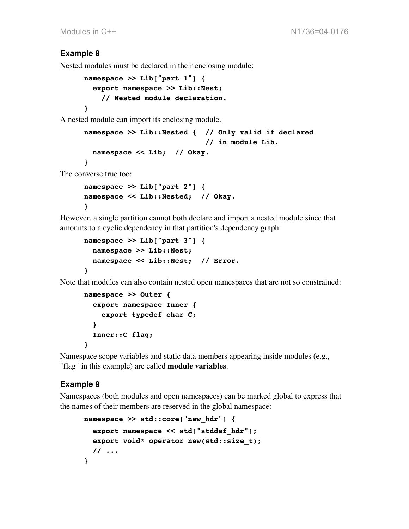## **Example 8**

Nested modules must be declared in their enclosing module:

```
namespace >> Lib["part 1"] {
   export namespace >> Lib::Nest;
     // Nested module declaration.
}
```
A nested module can import its enclosing module.

```
namespace >> Lib::Nested { // Only valid if declared
                             // in module Lib.
  namespace << Lib; // Okay.
}
```
The converse true too:

```
namespace >> Lib["part 2"] {
namespace << Lib::Nested; // Okay.
}
```
However, a single partition cannot both declare and import a nested module since that amounts to a cyclic dependency in that partition's dependency graph:

```
namespace >> Lib["part 3"] {
   namespace >> Lib::Nest;
  namespace << Lib::Nest; // Error.
}
```
Note that modules can also contain nested open namespaces that are not so constrained:

```
namespace >> Outer {
   export namespace Inner {
     export typedef char C;
   }
   Inner::C flag;
}
```
Namespace scope variables and static data members appearing inside modules (e.g., "flag" in this example) are called **module variables**.

## **Example 9**

Namespaces (both modules and open namespaces) can be marked global to express that the names of their members are reserved in the global namespace:

```
namespace >> std::core["new_hdr"] {
   export namespace << std["stddef_hdr"];
   export void* operator new(std::size_t);
  // ...
}
```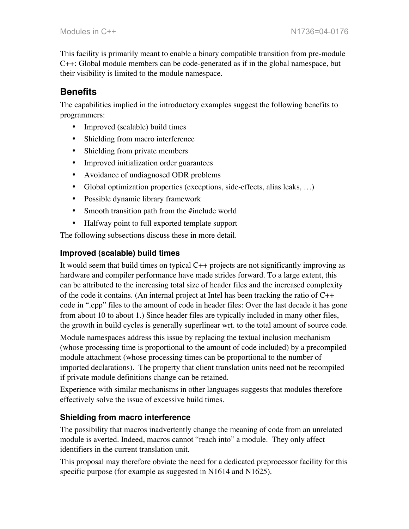This facility is primarily meant to enable a binary compatible transition from pre-module C++: Global module members can be code-generated as if in the global namespace, but their visibility is limited to the module namespace.

# **Benefits**

The capabilities implied in the introductory examples suggest the following benefits to programmers:

- Improved (scalable) build times
- Shielding from macro interference
- Shielding from private members
- Improved initialization order guarantees
- Avoidance of undiagnosed ODR problems
- Global optimization properties (exceptions, side-effects, alias leaks, …)
- Possible dynamic library framework
- Smooth transition path from the #include world
- Halfway point to full exported template support

The following subsections discuss these in more detail.

### **Improved (scalable) build times**

It would seem that build times on typical  $C_{++}$  projects are not significantly improving as hardware and compiler performance have made strides forward. To a large extent, this can be attributed to the increasing total size of header files and the increased complexity of the code it contains. (An internal project at Intel has been tracking the ratio of  $C_{++}$ code in ".cpp" files to the amount of code in header files: Over the last decade it has gone from about 10 to about 1.) Since header files are typically included in many other files, the growth in build cycles is generally superlinear wrt. to the total amount of source code.

Module namespaces address this issue by replacing the textual inclusion mechanism (whose processing time is proportional to the amount of code included) by a precompiled module attachment (whose processing times can be proportional to the number of imported declarations). The property that client translation units need not be recompiled if private module definitions change can be retained.

Experience with similar mechanisms in other languages suggests that modules therefore effectively solve the issue of excessive build times.

### **Shielding from macro interference**

The possibility that macros inadvertently change the meaning of code from an unrelated module is averted. Indeed, macros cannot "reach into" a module. They only affect identifiers in the current translation unit.

This proposal may therefore obviate the need for a dedicated preprocessor facility for this specific purpose (for example as suggested in N1614 and N1625).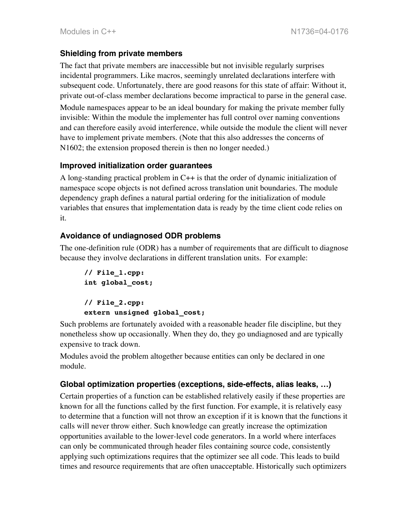#### **Shielding from private members**

The fact that private members are inaccessible but not invisible regularly surprises incidental programmers. Like macros, seemingly unrelated declarations interfere with subsequent code. Unfortunately, there are good reasons for this state of affair: Without it, private out-of-class member declarations become impractical to parse in the general case.

Module namespaces appear to be an ideal boundary for making the private member fully invisible: Within the module the implementer has full control over naming conventions and can therefore easily avoid interference, while outside the module the client will never have to implement private members. (Note that this also addresses the concerns of N1602; the extension proposed therein is then no longer needed.)

#### **Improved initialization order guarantees**

A long-standing practical problem in C++ is that the order of dynamic initialization of namespace scope objects is not defined across translation unit boundaries. The module dependency graph defines a natural partial ordering for the initialization of module variables that ensures that implementation data is ready by the time client code relies on it.

### **Avoidance of undiagnosed ODR problems**

The one-definition rule (ODR) has a number of requirements that are difficult to diagnose because they involve declarations in different translation units. For example:

```
// File_1.cpp:
int global_cost;
// File_2.cpp:
extern unsigned global_cost;
```
Such problems are fortunately avoided with a reasonable header file discipline, but they nonetheless show up occasionally. When they do, they go undiagnosed and are typically expensive to track down.

Modules avoid the problem altogether because entities can only be declared in one module.

### **Global optimization properties (exceptions, side-effects, alias leaks, …)**

Certain properties of a function can be established relatively easily if these properties are known for all the functions called by the first function. For example, it is relatively easy to determine that a function will not throw an exception if it is known that the functions it calls will never throw either. Such knowledge can greatly increase the optimization opportunities available to the lower-level code generators. In a world where interfaces can only be communicated through header files containing source code, consistently applying such optimizations requires that the optimizer see all code. This leads to build times and resource requirements that are often unacceptable. Historically such optimizers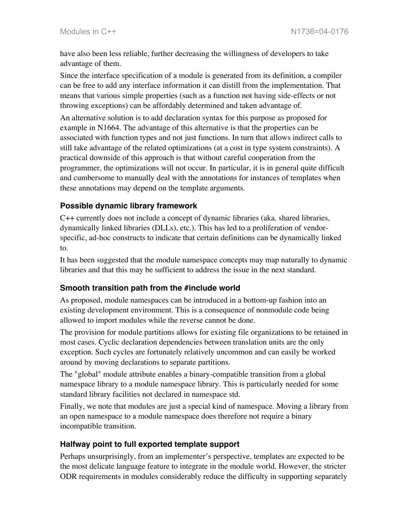have also been less reliable, further decreasing the willingness of developers to take advantage of them.

Since the interface specification of a module is generated from its definition, a compiler can be free to add any interface information it can distill from the implementation. That means that various simple properties (such as a function not having side-effects or not throwing exceptions) can be affordably determined and taken advantage of.

An alternative solution is to add declaration syntax for this purpose as proposed for example in N1664. The advantage of this alternative is that the properties can be associated with function types and not just functions. In turn that allows indirect calls to still take advantage of the related optimizations (at a cost in type system constraints). A practical downside of this approach is that without careful cooperation from the programmer, the optimizations will not occur. In particular, it is in general quite difficult and cumbersome to manually deal with the annotations for instances of templates when these annotations may depend on the template arguments.

## **Possible dynamic library framework**

C++ currently does not include a concept of dynamic libraries (aka. shared libraries, dynamically linked libraries (DLLs), etc.). This has led to a proliferation of vendorspecific, ad-hoc constructs to indicate that certain definitions can be dynamically linked to.

It has been suggested that the module namespace concepts may map naturally to dynamic libraries and that this may be sufficient to address the issue in the next standard.

### **Smooth transition path from the #include world**

As proposed, module namespaces can be introduced in a bottom-up fashion into an existing development environment. This is a consequence of nonmodule code being allowed to import modules while the reverse cannot be done.

The provision for module partitions allows for existing file organizations to be retained in most cases. Cyclic declaration dependencies between translation units are the only exception. Such cycles are fortunately relatively uncommon and can easily be worked around by moving declarations to separate partitions.

The "global" module attribute enables a binary-compatible transition from a global namespace library to a module namespace library. This is particularly needed for some standard library facilities not declared in namespace std.

Finally, we note that modules are just a special kind of namespace. Moving a library from an open namespace to a module namespace does therefore not require a binary incompatible transition.

### **Halfway point to full exported template support**

Perhaps unsurprisingly, from an implementer's perspective, templates are expected to be the most delicate language feature to integrate in the module world. However, the stricter ODR requirements in modules considerably reduce the difficulty in supporting separately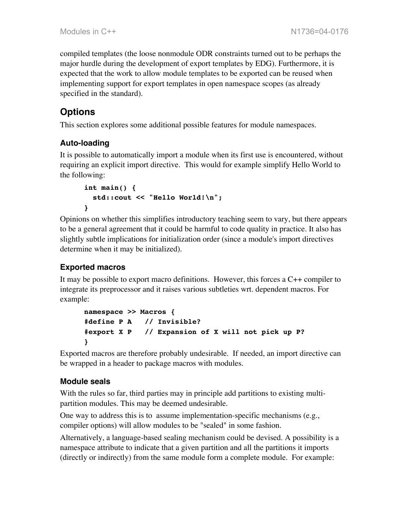compiled templates (the loose nonmodule ODR constraints turned out to be perhaps the major hurdle during the development of export templates by EDG). Furthermore, it is expected that the work to allow module templates to be exported can be reused when implementing support for export templates in open namespace scopes (as already specified in the standard).

# **Options**

This section explores some additional possible features for module namespaces.

### **Auto-loading**

It is possible to automatically import a module when its first use is encountered, without requiring an explicit import directive. This would for example simplify Hello World to the following:

```
int main() {
  std::cout << "Hello World!\n";
}
```
Opinions on whether this simplifies introductory teaching seem to vary, but there appears to be a general agreement that it could be harmful to code quality in practice. It also has slightly subtle implications for initialization order (since a module's import directives determine when it may be initialized).

## **Exported macros**

It may be possible to export macro definitions. However, this forces a C++ compiler to integrate its preprocessor and it raises various subtleties wrt. dependent macros. For example:

```
namespace >> Macros {
#define P A // Invisible?
#export X P // Expansion of X will not pick up P?
}
```
Exported macros are therefore probably undesirable. If needed, an import directive can be wrapped in a header to package macros with modules.

### **Module seals**

With the rules so far, third parties may in principle add partitions to existing multipartition modules. This may be deemed undesirable.

One way to address this is to assume implementation-specific mechanisms (e.g., compiler options) will allow modules to be "sealed" in some fashion.

Alternatively, a language-based sealing mechanism could be devised. A possibility is a namespace attribute to indicate that a given partition and all the partitions it imports (directly or indirectly) from the same module form a complete module. For example: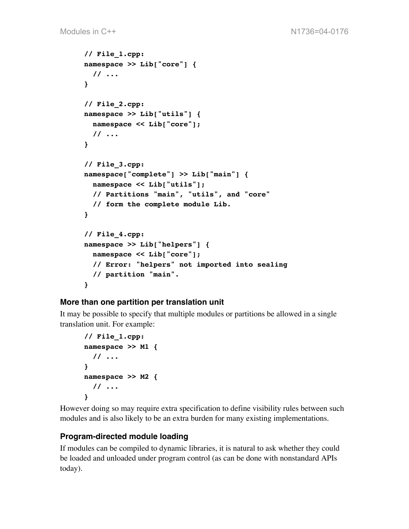```
// File_1.cpp:
namespace >> Lib["core"] {
   // ...
}
// File_2.cpp:
namespace >> Lib["utils"] {
   namespace << Lib["core"];
   // ...
}
// File_3.cpp:
namespace["complete"] >> Lib["main"] {
   namespace << Lib["utils"];
   // Partitions "main", "utils", and "core"
   // form the complete module Lib.
}
// File_4.cpp:
namespace >> Lib["helpers"] {
   namespace << Lib["core"];
   // Error: "helpers" not imported into sealing
   // partition "main".
}
```
### **More than one partition per translation unit**

It may be possible to specify that multiple modules or partitions be allowed in a single translation unit. For example:

```
// File_1.cpp:
namespace >> M1 {
   // ...
}
namespace >> M2 {
  // ...
}
```
However doing so may require extra specification to define visibility rules between such modules and is also likely to be an extra burden for many existing implementations.

## **Program-directed module loading**

If modules can be compiled to dynamic libraries, it is natural to ask whether they could be loaded and unloaded under program control (as can be done with nonstandard APIs today).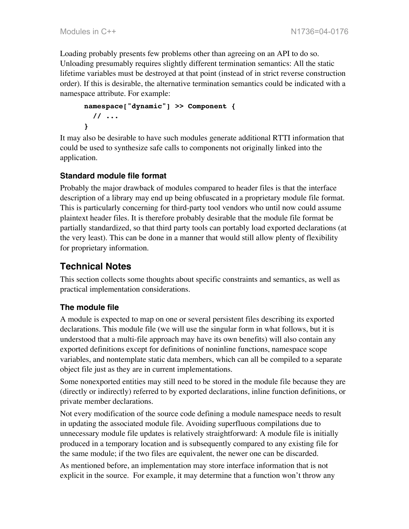Loading probably presents few problems other than agreeing on an API to do so. Unloading presumably requires slightly different termination semantics: All the static lifetime variables must be destroyed at that point (instead of in strict reverse construction order). If this is desirable, the alternative termination semantics could be indicated with a namespace attribute. For example:

```
namespace["dynamic"] >> Component {
   // ...
}
```
It may also be desirable to have such modules generate additional RTTI information that could be used to synthesize safe calls to components not originally linked into the application.

## **Standard module file format**

Probably the major drawback of modules compared to header files is that the interface description of a library may end up being obfuscated in a proprietary module file format. This is particularly concerning for third-party tool vendors who until now could assume plaintext header files. It is therefore probably desirable that the module file format be partially standardized, so that third party tools can portably load exported declarations (at the very least). This can be done in a manner that would still allow plenty of flexibility for proprietary information.

# **Technical Notes**

This section collects some thoughts about specific constraints and semantics, as well as practical implementation considerations.

## **The module file**

A module is expected to map on one or several persistent files describing its exported declarations. This module file (we will use the singular form in what follows, but it is understood that a multi-file approach may have its own benefits) will also contain any exported definitions except for definitions of noninline functions, namespace scope variables, and nontemplate static data members, which can all be compiled to a separate object file just as they are in current implementations.

Some nonexported entities may still need to be stored in the module file because they are (directly or indirectly) referred to by exported declarations, inline function definitions, or private member declarations.

Not every modification of the source code defining a module namespace needs to result in updating the associated module file. Avoiding superfluous compilations due to unnecessary module file updates is relatively straightforward: A module file is initially produced in a temporary location and is subsequently compared to any existing file for the same module; if the two files are equivalent, the newer one can be discarded.

As mentioned before, an implementation may store interface information that is not explicit in the source. For example, it may determine that a function won't throw any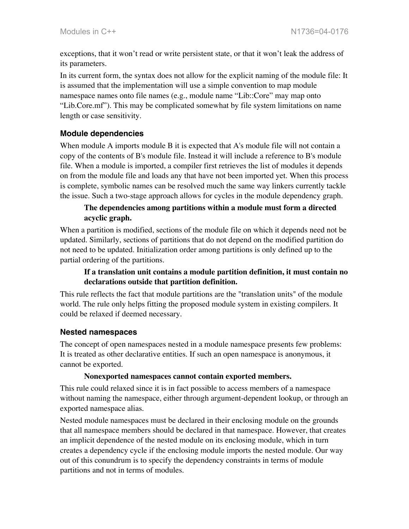exceptions, that it won't read or write persistent state, or that it won't leak the address of its parameters.

In its current form, the syntax does not allow for the explicit naming of the module file: It is assumed that the implementation will use a simple convention to map module namespace names onto file names (e.g., module name "Lib::Core" may map onto "Lib.Core.mf"). This may be complicated somewhat by file system limitations on name length or case sensitivity.

#### **Module dependencies**

When module A imports module B it is expected that A's module file will not contain a copy of the contents of B's module file. Instead it will include a reference to B's module file. When a module is imported, a compiler first retrieves the list of modules it depends on from the module file and loads any that have not been imported yet. When this process is complete, symbolic names can be resolved much the same way linkers currently tackle the issue. Such a two-stage approach allows for cycles in the module dependency graph.

#### **The dependencies among partitions within a module must form a directed acyclic graph.**

When a partition is modified, sections of the module file on which it depends need not be updated. Similarly, sections of partitions that do not depend on the modified partition do not need to be updated. Initialization order among partitions is only defined up to the partial ordering of the partitions.

#### **If a translation unit contains a module partition definition, it must contain no declarations outside that partition definition.**

This rule reflects the fact that module partitions are the "translation units" of the module world. The rule only helps fitting the proposed module system in existing compilers. It could be relaxed if deemed necessary.

#### **Nested namespaces**

The concept of open namespaces nested in a module namespace presents few problems: It is treated as other declarative entities. If such an open namespace is anonymous, it cannot be exported.

#### **Nonexported namespaces cannot contain exported members.**

This rule could relaxed since it is in fact possible to access members of a namespace without naming the namespace, either through argument-dependent lookup, or through an exported namespace alias.

Nested module namespaces must be declared in their enclosing module on the grounds that all namespace members should be declared in that namespace. However, that creates an implicit dependence of the nested module on its enclosing module, which in turn creates a dependency cycle if the enclosing module imports the nested module. Our way out of this conundrum is to specify the dependency constraints in terms of module partitions and not in terms of modules.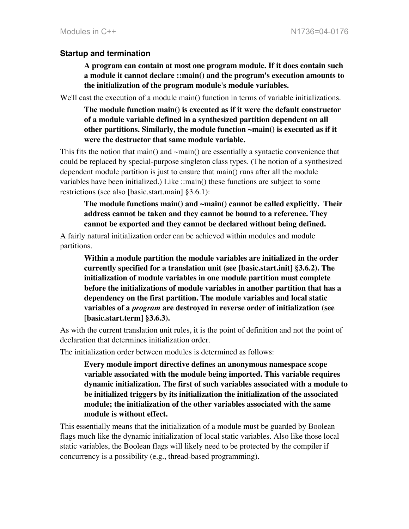#### **Startup and termination**

**A program can contain at most one program module. If it does contain such a module it cannot declare ::main() and the program's execution amounts to the initialization of the program module's module variables.**

We'll cast the execution of a module main() function in terms of variable initializations.

**The module function main() is executed as if it were the default constructor of a module variable defined in a synthesized partition dependent on all other partitions. Similarly, the module function ~main() is executed as if it were the destructor that same module variable.**

This fits the notion that main() and  $\sim$ main() are essentially a syntactic convenience that could be replaced by special-purpose singleton class types. (The notion of a synthesized dependent module partition is just to ensure that main() runs after all the module variables have been initialized.) Like ::main() these functions are subject to some restrictions (see also [basic.start.main] §3.6.1):

**The module functions main() and ~main() cannot be called explicitly. Their address cannot be taken and they cannot be bound to a reference. They cannot be exported and they cannot be declared without being defined.**

A fairly natural initialization order can be achieved within modules and module partitions.

**Within a module partition the module variables are initialized in the order currently specified for a translation unit (see [basic.start.init] §3.6.2). The initialization of module variables in one module partition must complete before the initializations of module variables in another partition that has a dependency on the first partition. The module variables and local static variables of a** *program* **are destroyed in reverse order of initialization (see [basic.start.term] §3.6.3).**

As with the current translation unit rules, it is the point of definition and not the point of declaration that determines initialization order.

The initialization order between modules is determined as follows:

**Every module import directive defines an anonymous namespace scope variable associated with the module being imported. This variable requires dynamic initialization. The first of such variables associated with a module to be initialized triggers by its initialization the initialization of the associated module; the initialization of the other variables associated with the same module is without effect.**

This essentially means that the initialization of a module must be guarded by Boolean flags much like the dynamic initialization of local static variables. Also like those local static variables, the Boolean flags will likely need to be protected by the compiler if concurrency is a possibility (e.g., thread-based programming).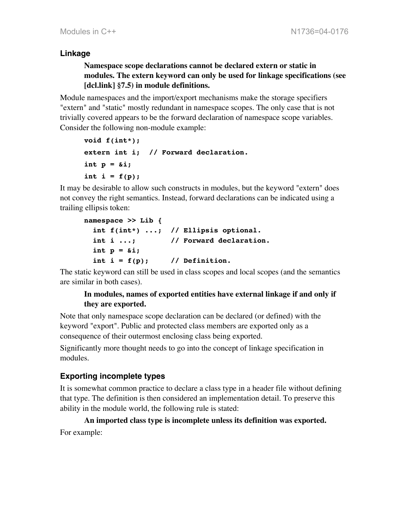#### **Linkage**

### **Namespace scope declarations cannot be declared extern or static in modules. The extern keyword can only be used for linkage specifications (see [dcl.link] §7.5) in module definitions.**

Module namespaces and the import/export mechanisms make the storage specifiers "extern" and "static" mostly redundant in namespace scopes. The only case that is not trivially covered appears to be the forward declaration of namespace scope variables. Consider the following non-module example:

```
void f(int*);
extern int i; // Forward declaration.
int p = <math>\&i;</math>int i = f(p);
```
It may be desirable to allow such constructs in modules, but the keyword "extern" does not convey the right semantics. Instead, forward declarations can be indicated using a trailing ellipsis token:

```
namespace >> Lib {
  int f(int*) ...; // Ellipsis optional.
  int i ...; // Forward declaration.
 int p = \&i;int i = f(p); // Definition.
```
The static keyword can still be used in class scopes and local scopes (and the semantics are similar in both cases).

#### **In modules, names of exported entities have external linkage if and only if they are exported.**

Note that only namespace scope declaration can be declared (or defined) with the keyword "export". Public and protected class members are exported only as a consequence of their outermost enclosing class being exported.

Significantly more thought needs to go into the concept of linkage specification in modules.

## **Exporting incomplete types**

It is somewhat common practice to declare a class type in a header file without defining that type. The definition is then considered an implementation detail. To preserve this ability in the module world, the following rule is stated:

## **An imported class type is incomplete unless its definition was exported.** For example: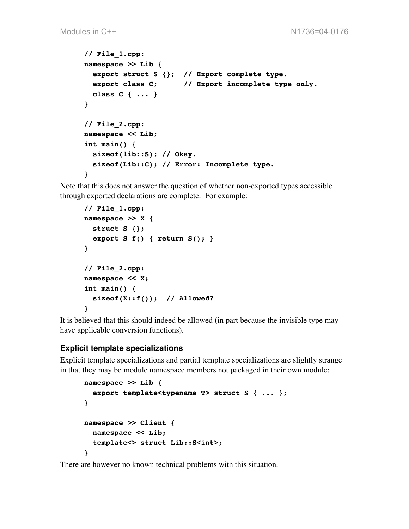```
// File_1.cpp:
namespace >> Lib {
  export struct S {}; // Export complete type.
  export class C; // Export incomplete type only.
  class C { ... }
}
// File_2.cpp:
namespace << Lib;
int main() {
   sizeof(lib::S); // Okay.
   sizeof(Lib::C); // Error: Incomplete type.
}
```
Note that this does not answer the question of whether non-exported types accessible through exported declarations are complete. For example:

```
// File_1.cpp:
namespace >> X {
   struct S {};
  export S f() { return S(); }
}
// File_2.cpp:
namespace << X;
int main() {
   sizeof(X::f()); // Allowed?
}
```
It is believed that this should indeed be allowed (in part because the invisible type may have applicable conversion functions).

### **Explicit template specializations**

Explicit template specializations and partial template specializations are slightly strange in that they may be module namespace members not packaged in their own module:

```
namespace >> Lib {
   export template<typename T> struct S { ... };
}
namespace >> Client {
   namespace << Lib;
   template<> struct Lib::S<int>;
}
```
There are however no known technical problems with this situation.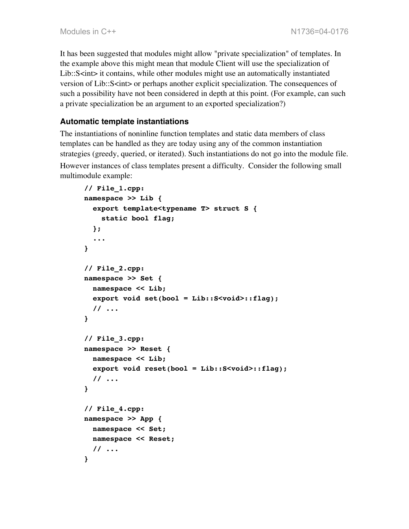It has been suggested that modules might allow "private specialization" of templates. In the example above this might mean that module Client will use the specialization of  $Lib::S<sub>int</sub>$  it contains, while other modules might use an automatically instantiated version of Lib::S<int> or perhaps another explicit specialization. The consequences of such a possibility have not been considered in depth at this point. (For example, can such a private specialization be an argument to an exported specialization?)

#### **Automatic template instantiations**

The instantiations of noninline function templates and static data members of class templates can be handled as they are today using any of the common instantiation strategies (greedy, queried, or iterated). Such instantiations do not go into the module file. However instances of class templates present a difficulty. Consider the following small multimodule example:

```
// File_1.cpp:
namespace >> Lib {
   export template<typename T> struct S {
     static bool flag;
   };
   ...
}
// File_2.cpp:
namespace >> Set {
   namespace << Lib;
   export void set(bool = Lib::S<void>::flag);
   // ...
}
// File_3.cpp:
namespace >> Reset {
   namespace << Lib;
   export void reset(bool = Lib::S<void>::flag);
   // ...
}
// File_4.cpp:
namespace >> App {
   namespace << Set;
   namespace << Reset;
   // ...
}
```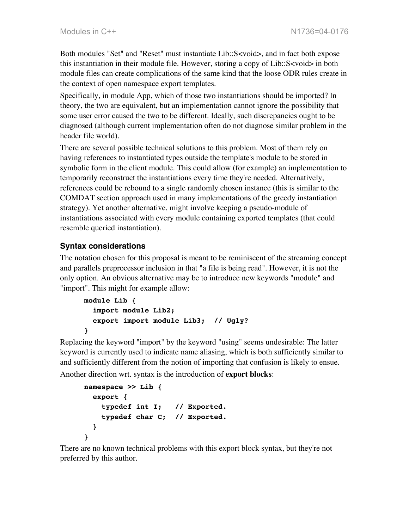Both modules "Set" and "Reset" must instantiate Lib::S<void>, and in fact both expose this instantiation in their module file. However, storing a copy of Lib::S<void> in both module files can create complications of the same kind that the loose ODR rules create in the context of open namespace export templates.

Specifically, in module App, which of those two instantiations should be imported? In theory, the two are equivalent, but an implementation cannot ignore the possibility that some user error caused the two to be different. Ideally, such discrepancies ought to be diagnosed (although current implementation often do not diagnose similar problem in the header file world).

There are several possible technical solutions to this problem. Most of them rely on having references to instantiated types outside the template's module to be stored in symbolic form in the client module. This could allow (for example) an implementation to temporarily reconstruct the instantiations every time they're needed. Alternatively, references could be rebound to a single randomly chosen instance (this is similar to the COMDAT section approach used in many implementations of the greedy instantiation strategy). Yet another alternative, might involve keeping a pseudo-module of instantiations associated with every module containing exported templates (that could resemble queried instantiation).

#### **Syntax considerations**

The notation chosen for this proposal is meant to be reminiscent of the streaming concept and parallels preprocessor inclusion in that "a file is being read". However, it is not the only option. An obvious alternative may be to introduce new keywords "module" and "import". This might for example allow:

```
module Lib {
   import module Lib2;
   export import module Lib3; // Ugly?
}
```
Replacing the keyword "import" by the keyword "using" seems undesirable: The latter keyword is currently used to indicate name aliasing, which is both sufficiently similar to and sufficiently different from the notion of importing that confusion is likely to ensue.

Another direction wrt. syntax is the introduction of **export blocks**:

```
namespace >> Lib {
   export {
     typedef int I; // Exported.
     typedef char C; // Exported.
   }
}
```
There are no known technical problems with this export block syntax, but they're not preferred by this author.